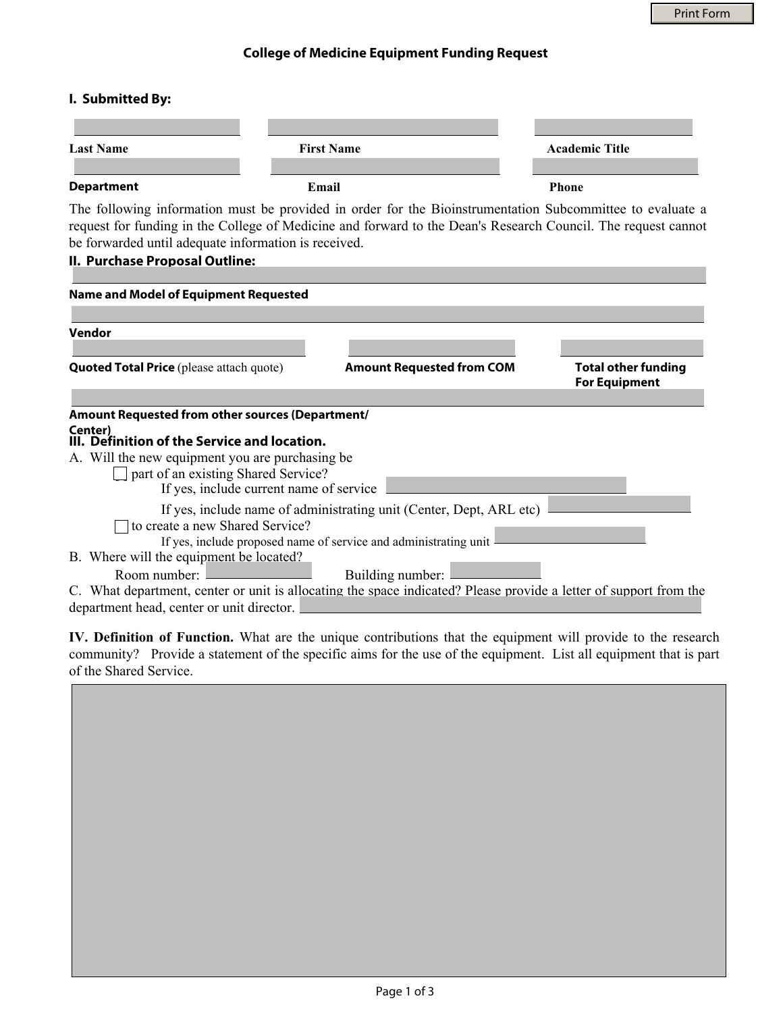## **College of Medicine Equipment Funding Request**

### **I. Submitted By:**

| <b>Last Name</b>  | <b>First Name</b> | <b>Academic Title</b> |
|-------------------|-------------------|-----------------------|
|                   |                   |                       |
| <b>Department</b> | Email             | <b>Phone</b>          |

The following information must be provided in order for the Bioinstrumentation Subcommittee to evaluate a request for funding in the College of Medicine and forward to the Dean's Research Council. The request cannot be forwarded until adequate information is received.

#### **II. Purchase Proposal Outline:**

| <b>Name and Model of Equipment Requested</b>                                                                                       |                                                                     |                                                    |  |  |
|------------------------------------------------------------------------------------------------------------------------------------|---------------------------------------------------------------------|----------------------------------------------------|--|--|
|                                                                                                                                    |                                                                     |                                                    |  |  |
| <b>Vendor</b>                                                                                                                      |                                                                     |                                                    |  |  |
| <b>Quoted Total Price</b> (please attach quote)                                                                                    | <b>Amount Requested from COM</b>                                    | <b>Total other funding</b><br><b>For Equipment</b> |  |  |
| Amount Requested from other sources (Department/                                                                                   |                                                                     |                                                    |  |  |
| Center)<br>Definition of the Service and location.                                                                                 |                                                                     |                                                    |  |  |
| A. Will the new equipment you are purchasing be.<br>part of an existing Shared Service?<br>If yes, include current name of service |                                                                     |                                                    |  |  |
|                                                                                                                                    | If yes, include name of administrating unit (Center, Dept, ARL etc) |                                                    |  |  |
| to create a new Shared Service?                                                                                                    |                                                                     |                                                    |  |  |
| B. Where will the equipment be located?                                                                                            | If yes, include proposed name of service and administrating unit    |                                                    |  |  |
| Room number:                                                                                                                       | Building number:                                                    |                                                    |  |  |
| C. What department, center or unit is allocating the space indicated? Please provide a letter of support from the                  |                                                                     |                                                    |  |  |
| department head, center or unit director.                                                                                          |                                                                     |                                                    |  |  |

**IV. Definition of Function.** What are the unique contributions that the equipment will provide to the research community? Provide a statement of the specific aims for the use of the equipment. List all equipment that is part of the Shared Service.

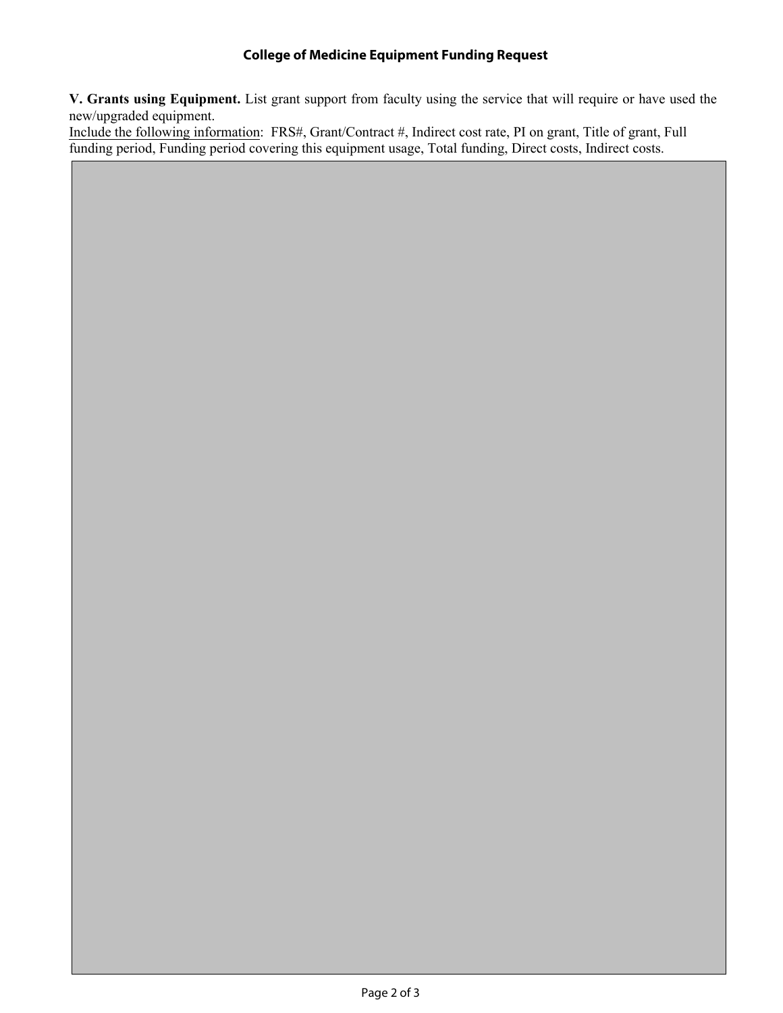# **College of Medicine Equipment Funding Request**

**V. Grants using Equipment.** List grant support from faculty using the service that will require or have used the new/upgraded equipment.

Include the following information: FRS#, Grant/Contract #, Indirect cost rate, PI on grant, Title of grant, Full funding period, Funding period covering this equipment usage, Total funding, Direct costs, Indirect costs.